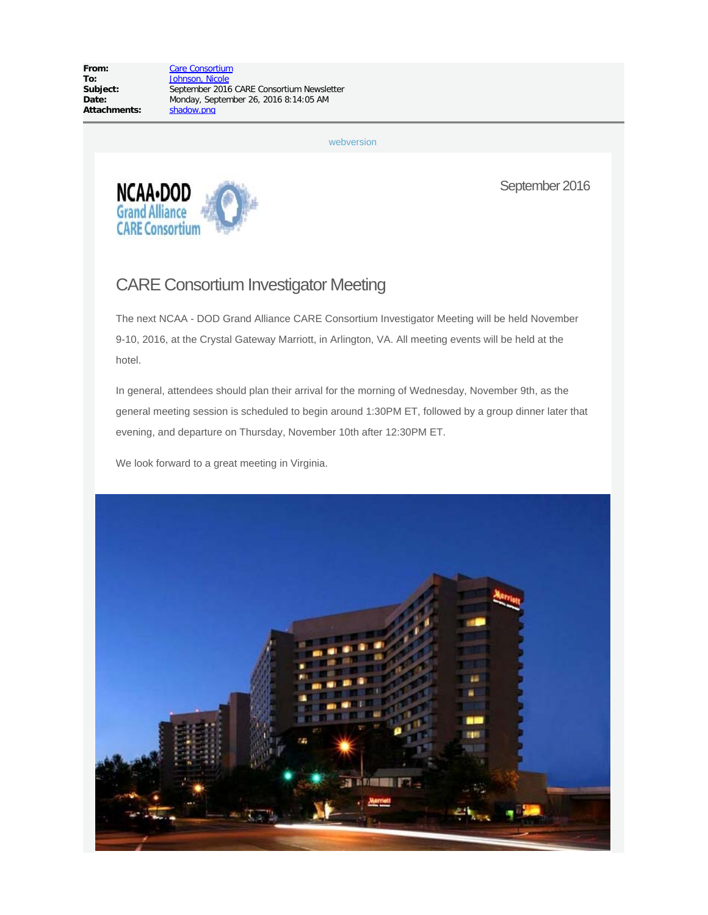From: [Care Consortium](mailto:careaoc@iupui.edu) September 2016 CARE Consortium Newsletter Date: Monday, September 26, 2016 8:14:05 AM<br>Attachments: Shadow.png

[webversion](http://careconsortium.net/mymail/1007/00000000000000000000000000000000/aHR0cDovL2NhcmVjb25zb3J0aXVtLm5ldC9uZXdzbGV0dGVyL2F1Z3VzdC0yMDE2LWNhcmUtY29uc29ydGl1bS1uZXdzbGV0dGVyLw)



September 2016

# CARE Consortium Investigator Meeting

The next NCAA - DOD Grand Alliance CARE Consortium Investigator Meeting will be held November 9-10, 2016, at the Crystal Gateway Marriott, in Arlington, VA. All meeting events will be held at the hotel.

In general, attendees should plan their arrival for the morning of Wednesday, November 9th, as the general meeting session is scheduled to begin around 1:30PM ET, followed by a group dinner later that evening, and departure on Thursday, November 10th after 12:30PM ET.

We look forward to a great meeting in Virginia.

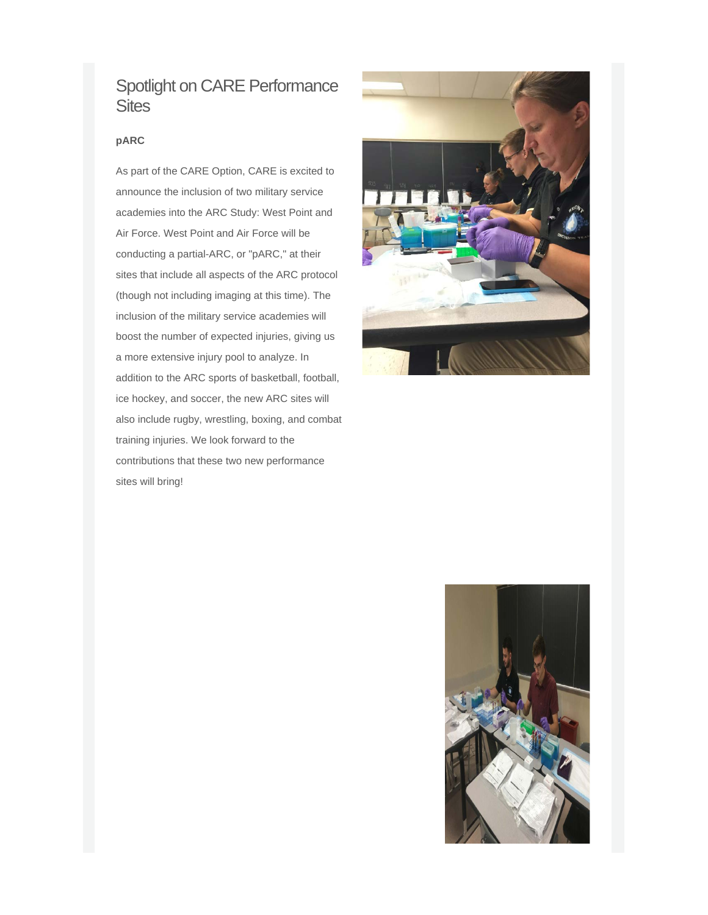### Spotlight on CARE Performance **Sites**

#### **pARC**

As part of the CARE Option, CARE is excited to announce the inclusion of two military service academies into the ARC Study: West Point and Air Force. West Point and Air Force will be conducting a partial-ARC, or "pARC," at their sites that include all aspects of the ARC protocol (though not including imaging at this time). The inclusion of the military service academies will boost the number of expected injuries, giving us a more extensive injury pool to analyze. In addition to the ARC sports of basketball, football, ice hockey, and soccer, the new ARC sites will also include rugby, wrestling, boxing, and combat training injuries. We look forward to the contributions that these two new performance sites will bring!



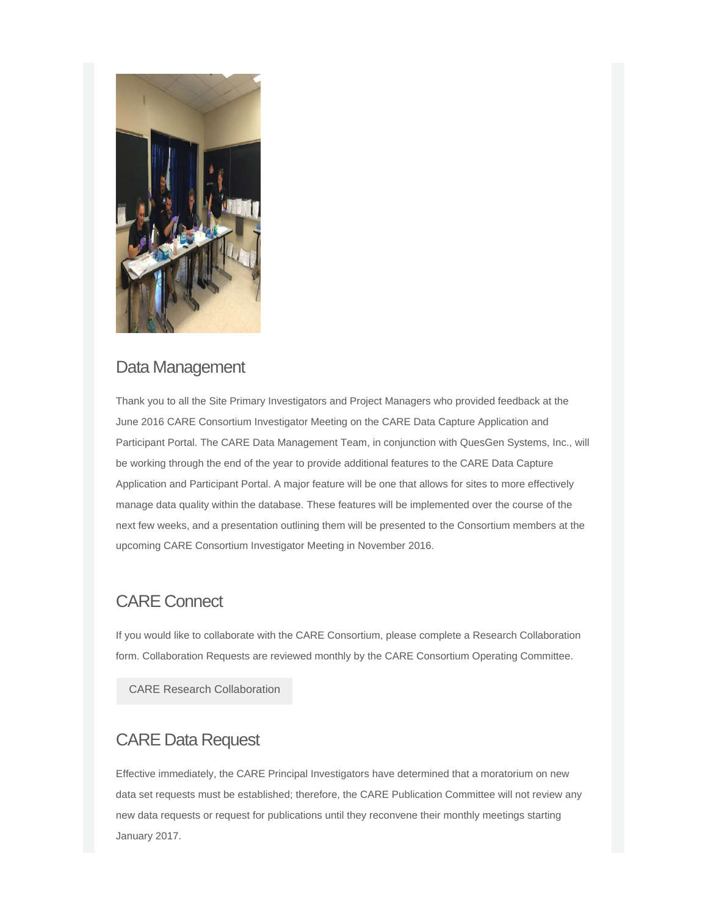

### Data Management

Thank you to all the Site Primary Investigators and Project Managers who provided feedback at the June 2016 CARE Consortium Investigator Meeting on the CARE Data Capture Application and Participant Portal. The CARE Data Management Team, in conjunction with QuesGen Systems, Inc., will be working through the end of the year to provide additional features to the CARE Data Capture Application and Participant Portal. A major feature will be one that allows for sites to more effectively manage data quality within the database. These features will be implemented over the course of the next few weeks, and a presentation outlining them will be presented to the Consortium members at the upcoming CARE Consortium Investigator Meeting in November 2016.

## CARE Connect

If you would like to collaborate with the CARE Consortium, please complete a Research Collaboration form. Collaboration Requests are reviewed monthly by the CARE Consortium Operating Committee.

[CARE Research Collaboration](http://careconsortium.net/mymail/1007/00000000000000000000000000000000/aHR0cHM6Ly9yZWRjYXAudWl0cy5pdS5lZHUvc3VydmV5cy8_cz1uZ1VRcHdpdUhH)

## CARE Data Request

Effective immediately, the CARE Principal Investigators have determined that a moratorium on new data set requests must be established; therefore, the CARE Publication Committee will not review any new data requests or request for publications until they reconvene their monthly meetings starting January 2017.